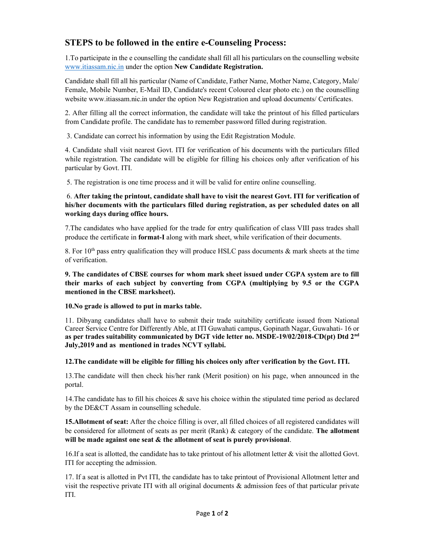## STEPS to be followed in the entire e-Counseling Process:

1.To participate in the e counselling the candidate shall fill all his particulars on the counselling website www.itiassam.nic.in under the option New Candidate Registration.

Candidate shall fill all his particular (Name of Candidate, Father Name, Mother Name, Category, Male/ Female, Mobile Number, E-Mail ID, Candidate's recent Coloured clear photo etc.) on the counselling website www.itiassam.nic.in under the option New Registration and upload documents/ Certificates.

2. After filling all the correct information, the candidate will take the printout of his filled particulars from Candidate profile. The candidate has to remember password filled during registration.

3. Candidate can correct his information by using the Edit Registration Module.

4. Candidate shall visit nearest Govt. ITI for verification of his documents with the particulars filled while registration. The candidate will be eligible for filling his choices only after verification of his particular by Govt. ITI.

5. The registration is one time process and it will be valid for entire online counselling.

## 6. After taking the printout, candidate shall have to visit the nearest Govt. ITI for verification of his/her documents with the particulars filled during registration, as per scheduled dates on all working days during office hours.

7.The candidates who have applied for the trade for entry qualification of class VIII pass trades shall produce the certificate in format-I along with mark sheet, while verification of their documents.

8. For  $10<sup>th</sup>$  pass entry qualification they will produce HSLC pass documents & mark sheets at the time of verification.

9. The candidates of CBSE courses for whom mark sheet issued under CGPA system are to fill their marks of each subject by converting from CGPA (multiplying by 9.5 or the CGPA mentioned in the CBSE marksheet).

10.No grade is allowed to put in marks table.

11. Dibyang candidates shall have to submit their trade suitability certificate issued from National Career Service Centre for Differently Able, at ITI Guwahati campus, Gopinath Nagar, Guwahati- 16 or as per trades suitability communicated by DGT vide letter no. MSDE-19/02/2018-CD(pt) Dtd  $2<sup>nd</sup>$ July,2019 and as mentioned in trades NCVT syllabi.

## 12.The candidate will be eligible for filling his choices only after verification by the Govt. ITI.

13.The candidate will then check his/her rank (Merit position) on his page, when announced in the portal.

14.The candidate has to fill his choices & save his choice within the stipulated time period as declared by the DE&CT Assam in counselling schedule.

15.Allotment of seat: After the choice filling is over, all filled choices of all registered candidates will be considered for allotment of seats as per merit (Rank) & category of the candidate. The allotment will be made against one seat  $\&$  the allotment of seat is purely provisional.

16.If a seat is allotted, the candidate has to take printout of his allotment letter & visit the allotted Govt. ITI for accepting the admission.

17. If a seat is allotted in Pvt ITI, the candidate has to take printout of Provisional Allotment letter and visit the respective private ITI with all original documents  $\&$  admission fees of that particular private ITI.